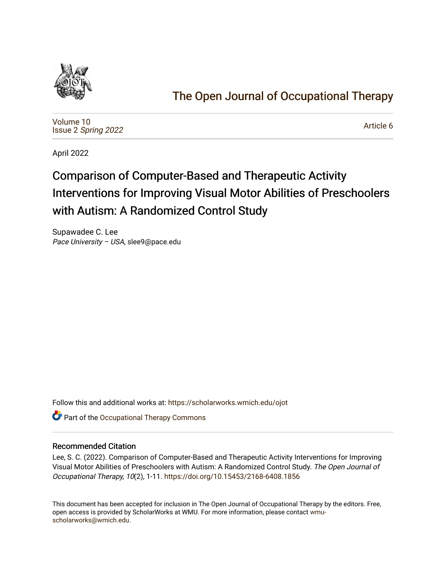

# [The Open Journal of Occupational Therapy](https://scholarworks.wmich.edu/ojot)

[Volume 10](https://scholarworks.wmich.edu/ojot/vol10) Issue 2 [Spring 2022](https://scholarworks.wmich.edu/ojot/vol10/iss2) 

[Article 6](https://scholarworks.wmich.edu/ojot/vol10/iss2/6) 

April 2022

# Comparison of Computer-Based and Therapeutic Activity Interventions for Improving Visual Motor Abilities of Preschoolers with Autism: A Randomized Control Study

Supawadee C. Lee Pace University – USA, slee9@pace.edu

Follow this and additional works at: [https://scholarworks.wmich.edu/ojot](https://scholarworks.wmich.edu/ojot?utm_source=scholarworks.wmich.edu%2Fojot%2Fvol10%2Fiss2%2F6&utm_medium=PDF&utm_campaign=PDFCoverPages)

**C** Part of the Occupational Therapy Commons

# Recommended Citation

Lee, S. C. (2022). Comparison of Computer-Based and Therapeutic Activity Interventions for Improving Visual Motor Abilities of Preschoolers with Autism: A Randomized Control Study. The Open Journal of Occupational Therapy, 10(2), 1-11. <https://doi.org/10.15453/2168-6408.1856>

This document has been accepted for inclusion in The Open Journal of Occupational Therapy by the editors. Free, open access is provided by ScholarWorks at WMU. For more information, please contact [wmu](mailto:wmu-scholarworks@wmich.edu)[scholarworks@wmich.edu.](mailto:wmu-scholarworks@wmich.edu)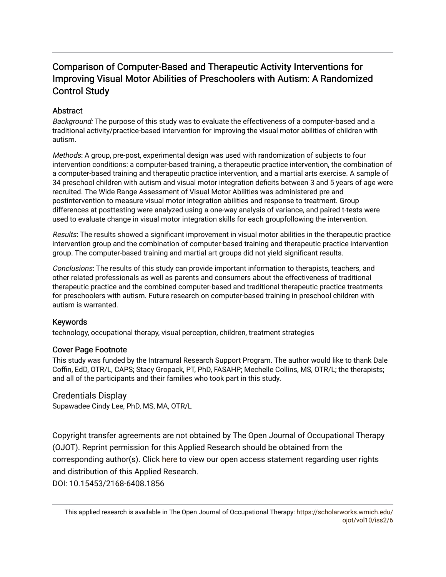# Comparison of Computer-Based and Therapeutic Activity Interventions for Improving Visual Motor Abilities of Preschoolers with Autism: A Randomized Control Study

# **Abstract**

Background: The purpose of this study was to evaluate the effectiveness of a computer-based and a traditional activity/practice-based intervention for improving the visual motor abilities of children with autism.

Methods: A group, pre-post, experimental design was used with randomization of subjects to four intervention conditions: a computer-based training, a therapeutic practice intervention, the combination of a computer-based training and therapeutic practice intervention, and a martial arts exercise. A sample of 34 preschool children with autism and visual motor integration deficits between 3 and 5 years of age were recruited. The Wide Range Assessment of Visual Motor Abilities was administered pre and postintervention to measure visual motor integration abilities and response to treatment. Group differences at posttesting were analyzed using a one-way analysis of variance, and paired t-tests were used to evaluate change in visual motor integration skills for each groupfollowing the intervention.

Results: The results showed a significant improvement in visual motor abilities in the therapeutic practice intervention group and the combination of computer-based training and therapeutic practice intervention group. The computer-based training and martial art groups did not yield significant results.

Conclusions: The results of this study can provide important information to therapists, teachers, and other related professionals as well as parents and consumers about the effectiveness of traditional therapeutic practice and the combined computer-based and traditional therapeutic practice treatments for preschoolers with autism. Future research on computer-based training in preschool children with autism is warranted.

# Keywords

technology, occupational therapy, visual perception, children, treatment strategies

# Cover Page Footnote

This study was funded by the Intramural Research Support Program. The author would like to thank Dale Coffin, EdD, OTR/L, CAPS; Stacy Gropack, PT, PhD, FASAHP; Mechelle Collins, MS, OTR/L; the therapists; and all of the participants and their families who took part in this study.

# Credentials Display

Supawadee Cindy Lee, PhD, MS, MA, OTR/L

Copyright transfer agreements are not obtained by The Open Journal of Occupational Therapy (OJOT). Reprint permission for this Applied Research should be obtained from the corresponding author(s). Click [here](https://scholarworks.wmich.edu/ojot/policies.html#rights) to view our open access statement regarding user rights and distribution of this Applied Research. DOI: 10.15453/2168-6408.1856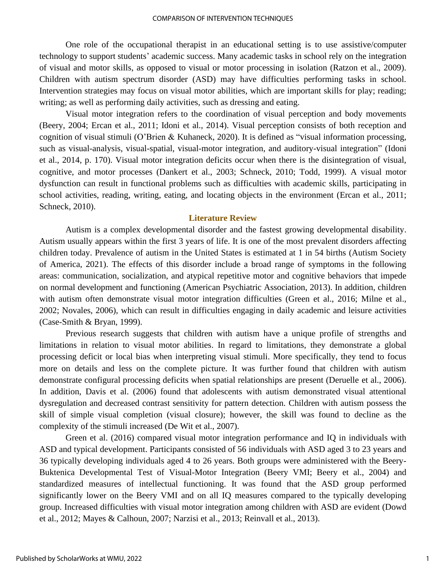One role of the occupational therapist in an educational setting is to use assistive/computer technology to support students' academic success. Many academic tasks in school rely on the integration of visual and motor skills, as opposed to visual or motor processing in isolation (Ratzon et al., 2009). Children with autism spectrum disorder (ASD) may have difficulties performing tasks in school. Intervention strategies may focus on visual motor abilities, which are important skills for play; reading; writing; as well as performing daily activities, such as dressing and eating.

Visual motor integration refers to the coordination of visual perception and body movements (Beery, 2004; Ercan et al., 2011; Idoni et al., 2014). Visual perception consists of both reception and cognition of visual stimuli (O'Brien & Kuhaneck, 2020). It is defined as "visual information processing, such as visual-analysis, visual-spatial, visual-motor integration, and auditory-visual integration" (Idoni et al., 2014, p. 170). Visual motor integration deficits occur when there is the disintegration of visual, cognitive, and motor processes (Dankert et al., 2003; Schneck, 2010; Todd, 1999). A visual motor dysfunction can result in functional problems such as difficulties with academic skills, participating in school activities, reading, writing, eating, and locating objects in the environment (Ercan et al., 2011; Schneck, 2010).

# **Literature Review**

Autism is a complex developmental disorder and the fastest growing developmental disability. Autism usually appears within the first 3 years of life. It is one of the most prevalent disorders affecting children today. Prevalence of autism in the United States is estimated at 1 in 54 births (Autism Society of America, 2021). The effects of this disorder include a broad range of symptoms in the following areas: communication, socialization, and atypical repetitive motor and cognitive behaviors that impede on normal development and functioning (American Psychiatric Association, 2013). In addition, children with autism often demonstrate visual motor integration difficulties (Green et al., 2016; Milne et al., 2002; Novales, 2006), which can result in difficulties engaging in daily academic and leisure activities (Case-Smith & Bryan, 1999).

Previous research suggests that children with autism have a unique profile of strengths and limitations in relation to visual motor abilities. In regard to limitations, they demonstrate a global processing deficit or local bias when interpreting visual stimuli. More specifically, they tend to focus more on details and less on the complete picture. It was further found that children with autism demonstrate configural processing deficits when spatial relationships are present (Deruelle et al., 2006). In addition, Davis et al. (2006) found that adolescents with autism demonstrated visual attentional dysregulation and decreased contrast sensitivity for pattern detection. Children with autism possess the skill of simple visual completion (visual closure); however, the skill was found to decline as the complexity of the stimuli increased (De Wit et al., 2007).

Green et al. (2016) compared visual motor integration performance and IQ in individuals with ASD and typical development. Participants consisted of 56 individuals with ASD aged 3 to 23 years and 36 typically developing individuals aged 4 to 26 years. Both groups were administered with the Beery-Buktenica Developmental Test of Visual-Motor Integration (Beery VMI; Beery et al., 2004) and standardized measures of intellectual functioning. It was found that the ASD group performed significantly lower on the Beery VMI and on all IQ measures compared to the typically developing group. Increased difficulties with visual motor integration among children with ASD are evident (Dowd et al., 2012; Mayes & Calhoun, 2007; Narzisi et al., 2013; Reinvall et al., 2013).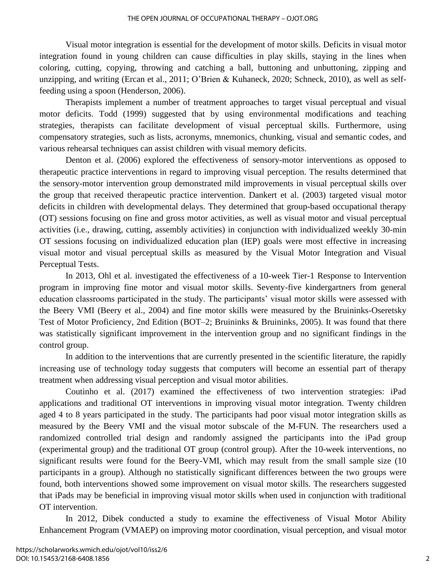Visual motor integration is essential for the development of motor skills. Deficits in visual motor integration found in young children can cause difficulties in play skills, staying in the lines when coloring, cutting, copying, throwing and catching a ball, buttoning and unbuttoning, zipping and unzipping, and writing (Ercan et al., 2011; O'Brien & Kuhaneck, 2020; Schneck, 2010), as well as selffeeding using a spoon (Henderson, 2006).

Therapists implement a number of treatment approaches to target visual perceptual and visual motor deficits. Todd (1999) suggested that by using environmental modifications and teaching strategies, therapists can facilitate development of visual perceptual skills. Furthermore, using compensatory strategies, such as lists, acronyms, mnemonics, chunking, visual and semantic codes, and various rehearsal techniques can assist children with visual memory deficits.

Denton et al. (2006) explored the effectiveness of sensory-motor interventions as opposed to therapeutic practice interventions in regard to improving visual perception. The results determined that the sensory-motor intervention group demonstrated mild improvements in visual perceptual skills over the group that received therapeutic practice intervention. Dankert et al. (2003) targeted visual motor deficits in children with developmental delays. They determined that group-based occupational therapy (OT) sessions focusing on fine and gross motor activities, as well as visual motor and visual perceptual activities (i.e., drawing, cutting, assembly activities) in conjunction with individualized weekly 30-min OT sessions focusing on individualized education plan (IEP) goals were most effective in increasing visual motor and visual perceptual skills as measured by the Visual Motor Integration and Visual Perceptual Tests.

In 2013, Ohl et al. investigated the effectiveness of a 10-week Tier-1 Response to Intervention program in improving fine motor and visual motor skills. Seventy-five kindergartners from general education classrooms participated in the study. The participants' visual motor skills were assessed with the Beery VMI (Beery et al., 2004) and fine motor skills were measured by the Bruininks-Oseretsky Test of Motor Proficiency, 2nd Edition (BOT–2; Bruininks & Bruininks, 2005). It was found that there was statistically significant improvement in the intervention group and no significant findings in the control group.

In addition to the interventions that are currently presented in the scientific literature, the rapidly increasing use of technology today suggests that computers will become an essential part of therapy treatment when addressing visual perception and visual motor abilities.

Coutinho et al. (2017) examined the effectiveness of two intervention strategies: iPad applications and traditional OT interventions in improving visual motor integration. Twenty children aged 4 to 8 years participated in the study. The participants had poor visual motor integration skills as measured by the Beery VMI and the visual motor subscale of the M-FUN. The researchers used a randomized controlled trial design and randomly assigned the participants into the iPad group (experimental group) and the traditional OT group (control group). After the 10-week interventions, no significant results were found for the Beery-VMI, which may result from the small sample size (10 participants in a group). Although no statistically significant differences between the two groups were found, both interventions showed some improvement on visual motor skills. The researchers suggested that iPads may be beneficial in improving visual motor skills when used in conjunction with traditional OT intervention.

In 2012, Dibek conducted a study to examine the effectiveness of Visual Motor Ability Enhancement Program (VMAEP) on improving motor coordination, visual perception, and visual motor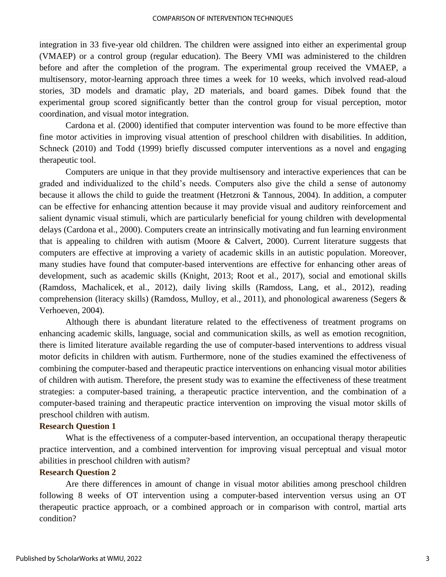integration in 33 five-year old children. The children were assigned into either an experimental group (VMAEP) or a control group (regular education). The Beery VMI was administered to the children before and after the completion of the program. The experimental group received the VMAEP, a multisensory, motor-learning approach three times a week for 10 weeks, which involved read-aloud stories, 3D models and dramatic play, 2D materials, and board games. Dibek found that the experimental group scored significantly better than the control group for visual perception, motor coordination, and visual motor integration.

Cardona et al. (2000) identified that computer intervention was found to be more effective than fine motor activities in improving visual attention of preschool children with disabilities. In addition, Schneck (2010) and Todd (1999) briefly discussed computer interventions as a novel and engaging therapeutic tool.

Computers are unique in that they provide multisensory and interactive experiences that can be graded and individualized to the child's needs. Computers also give the child a sense of autonomy because it allows the child to guide the treatment (Hetzroni & Tannous, 2004). In addition, a computer can be effective for enhancing attention because it may provide visual and auditory reinforcement and salient dynamic visual stimuli, which are particularly beneficial for young children with developmental delays (Cardona et al., 2000). Computers create an intrinsically motivating and fun learning environment that is appealing to children with autism (Moore & Calvert, 2000). Current literature suggests that computers are effective at improving a variety of academic skills in an autistic population. Moreover, many studies have found that computer-based interventions are effective for enhancing other areas of development, such as academic skills (Knight, 2013; Root et al., 2017), social and emotional skills (Ramdoss, Machalicek, et al., 2012), daily living skills (Ramdoss, Lang, et al., 2012), reading comprehension (literacy skills) (Ramdoss, Mulloy, et al., 2011), and phonological awareness (Segers & Verhoeven, 2004).

Although there is abundant literature related to the effectiveness of treatment programs on enhancing academic skills, language, social and communication skills, as well as emotion recognition, there is limited literature available regarding the use of computer-based interventions to address visual motor deficits in children with autism. Furthermore, none of the studies examined the effectiveness of combining the computer-based and therapeutic practice interventions on enhancing visual motor abilities of children with autism. Therefore, the present study was to examine the effectiveness of these treatment strategies: a computer-based training, a therapeutic practice intervention, and the combination of a computer-based training and therapeutic practice intervention on improving the visual motor skills of preschool children with autism.

# **Research Question 1**

What is the effectiveness of a computer-based intervention, an occupational therapy therapeutic practice intervention, and a combined intervention for improving visual perceptual and visual motor abilities in preschool children with autism?

# **Research Question 2**

Are there differences in amount of change in visual motor abilities among preschool children following 8 weeks of OT intervention using a computer-based intervention versus using an OT therapeutic practice approach, or a combined approach or in comparison with control, martial arts condition?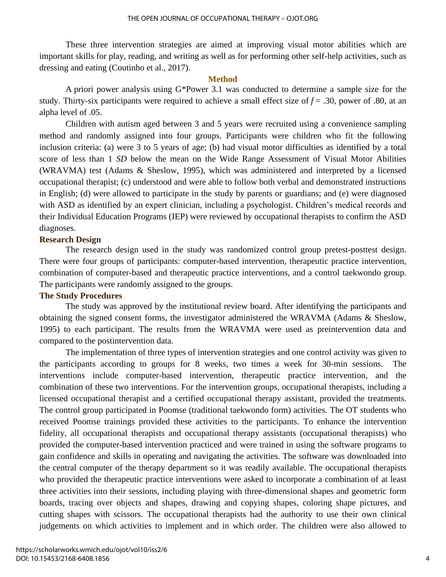These three intervention strategies are aimed at improving visual motor abilities which are important skills for play, reading, and writing as well as for performing other self-help activities, such as dressing and eating (Coutinho et al., 2017).

#### **Method**

A priori power analysis using G\*Power 3.1 was conducted to determine a sample size for the study. Thirty-six participants were required to achieve a small effect size of  $f = .30$ , power of .80, at an alpha level of .05.

Children with autism aged between 3 and 5 years were recruited using a convenience sampling method and randomly assigned into four groups. Participants were children who fit the following inclusion criteria: (a) were 3 to 5 years of age; (b) had visual motor difficulties as identified by a total score of less than 1 *SD* below the mean on the Wide Range Assessment of Visual Motor Abilities (WRAVMA) test (Adams & Sheslow, 1995), which was administered and interpreted by a licensed occupational therapist; (c) understood and were able to follow both verbal and demonstrated instructions in English; (d) were allowed to participate in the study by parents or guardians; and (e) were diagnosed with ASD as identified by an expert clinician, including a psychologist. Children's medical records and their Individual Education Programs (IEP) were reviewed by occupational therapists to confirm the ASD diagnoses.

# **Research Design**

The research design used in the study was randomized control group pretest-posttest design. There were four groups of participants: computer-based intervention, therapeutic practice intervention, combination of computer-based and therapeutic practice interventions, and a control taekwondo group. The participants were randomly assigned to the groups.

## **The Study Procedures**

The study was approved by the institutional review board. After identifying the participants and obtaining the signed consent forms, the investigator administered the WRAVMA (Adams & Sheslow, 1995) to each participant. The results from the WRAVMA were used as preintervention data and compared to the postintervention data.

The implementation of three types of intervention strategies and one control activity was given to the participants according to groups for 8 weeks, two times a week for 30-min sessions. The interventions include computer-based intervention, therapeutic practice intervention, and the combination of these two interventions. For the intervention groups, occupational therapists, including a licensed occupational therapist and a certified occupational therapy assistant, provided the treatments. The control group participated in Poomse (traditional taekwondo form) activities. The OT students who received Poomse trainings provided these activities to the participants. To enhance the intervention fidelity, all occupational therapists and occupational therapy assistants (occupational therapists) who provided the computer-based intervention practiced and were trained in using the software programs to gain confidence and skills in operating and navigating the activities. The software was downloaded into the central computer of the therapy department so it was readily available. The occupational therapists who provided the therapeutic practice interventions were asked to incorporate a combination of at least three activities into their sessions, including playing with three-dimensional shapes and geometric form boards, tracing over objects and shapes, drawing and copying shapes, coloring shape pictures, and cutting shapes with scissors. The occupational therapists had the authority to use their own clinical judgements on which activities to implement and in which order. The children were also allowed to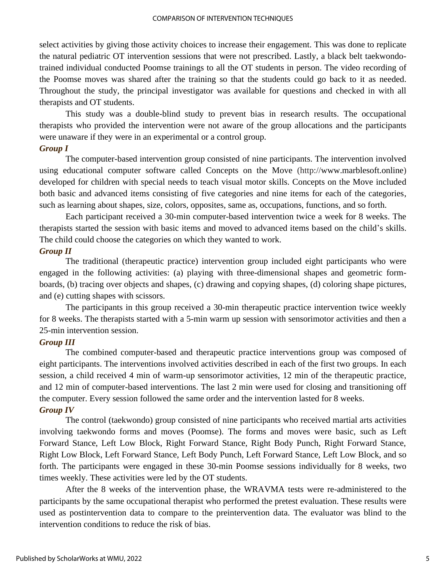select activities by giving those activity choices to increase their engagement. This was done to replicate the natural pediatric OT intervention sessions that were not prescribed. Lastly, a black belt taekwondotrained individual conducted Poomse trainings to all the OT students in person. The video recording of the Poomse moves was shared after the training so that the students could go back to it as needed. Throughout the study, the principal investigator was available for questions and checked in with all therapists and OT students.

This study was a double-blind study to prevent bias in research results. The occupational therapists who provided the intervention were not aware of the group allocations and the participants were unaware if they were in an experimental or a control group.

# *Group I*

The computer-based intervention group consisted of nine participants. The intervention involved using educational computer software called Concepts on the Move (http://www.marblesoft.online) developed for children with special needs to teach visual motor skills. Concepts on the Move included both basic and advanced items consisting of five categories and nine items for each of the categories, such as learning about shapes, size, colors, opposites, same as, occupations, functions, and so forth.

Each participant received a 30-min computer-based intervention twice a week for 8 weeks. The therapists started the session with basic items and moved to advanced items based on the child's skills. The child could choose the categories on which they wanted to work.

# *Group II*

The traditional (therapeutic practice) intervention group included eight participants who were engaged in the following activities: (a) playing with three-dimensional shapes and geometric formboards, (b) tracing over objects and shapes, (c) drawing and copying shapes, (d) coloring shape pictures, and (e) cutting shapes with scissors.

The participants in this group received a 30-min therapeutic practice intervention twice weekly for 8 weeks. The therapists started with a 5-min warm up session with sensorimotor activities and then a 25-min intervention session.

# *Group III*

The combined computer-based and therapeutic practice interventions group was composed of eight participants. The interventions involved activities described in each of the first two groups. In each session, a child received 4 min of warm-up sensorimotor activities, 12 min of the therapeutic practice, and 12 min of computer-based interventions. The last 2 min were used for closing and transitioning off the computer. Every session followed the same order and the intervention lasted for 8 weeks. *Group IV* 

# The control (taekwondo) group consisted of nine participants who received martial arts activities involving taekwondo forms and moves (Poomse). The forms and moves were basic, such as Left Forward Stance, Left Low Block, Right Forward Stance, Right Body Punch, Right Forward Stance, Right Low Block, Left Forward Stance, Left Body Punch, Left Forward Stance, Left Low Block, and so forth. The participants were engaged in these 30-min Poomse sessions individually for 8 weeks, two times weekly. These activities were led by the OT students.

After the 8 weeks of the intervention phase, the WRAVMA tests were re-administered to the participants by the same occupational therapist who performed the pretest evaluation. These results were used as postintervention data to compare to the preintervention data. The evaluator was blind to the intervention conditions to reduce the risk of bias.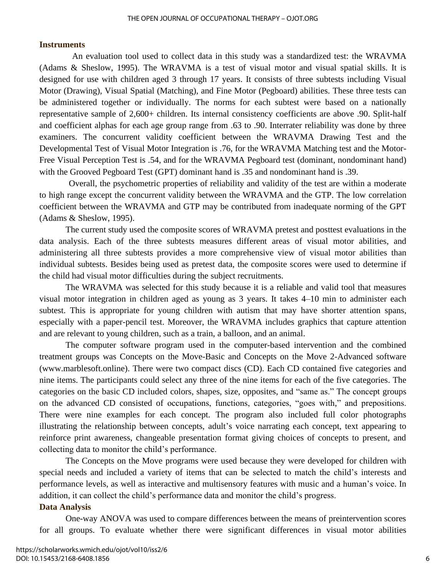# **Instruments**

An evaluation tool used to collect data in this study was a standardized test: the WRAVMA (Adams & Sheslow, 1995). The WRAVMA is a test of visual motor and visual spatial skills. It is designed for use with children aged 3 through 17 years. It consists of three subtests including Visual Motor (Drawing), Visual Spatial (Matching), and Fine Motor (Pegboard) abilities. These three tests can be administered together or individually. The norms for each subtest were based on a nationally representative sample of 2,600+ children. Its internal consistency coefficients are above .90. Split-half and coefficient alphas for each age group range from .63 to .90. Interrater reliability was done by three examiners. The concurrent validity coefficient between the WRAVMA Drawing Test and the Developmental Test of Visual Motor Integration is .76, for the WRAVMA Matching test and the Motor-Free Visual Perception Test is .54, and for the WRAVMA Pegboard test (dominant, nondominant hand) with the Grooved Pegboard Test (GPT) dominant hand is .35 and nondominant hand is .39.

Overall, the psychometric properties of reliability and validity of the test are within a moderate to high range except the concurrent validity between the WRAVMA and the GTP. The low correlation coefficient between the WRAVMA and GTP may be contributed from inadequate norming of the GPT (Adams & Sheslow, 1995).

The current study used the composite scores of WRAVMA pretest and posttest evaluations in the data analysis. Each of the three subtests measures different areas of visual motor abilities, and administering all three subtests provides a more comprehensive view of visual motor abilities than individual subtests. Besides being used as pretest data, the composite scores were used to determine if the child had visual motor difficulties during the subject recruitments.

The WRAVMA was selected for this study because it is a reliable and valid tool that measures visual motor integration in children aged as young as 3 years. It takes 4–10 min to administer each subtest. This is appropriate for young children with autism that may have shorter attention spans, especially with a paper-pencil test. Moreover, the WRAVMA includes graphics that capture attention and are relevant to young children, such as a train, a balloon, and an animal.

The computer software program used in the computer-based intervention and the combined treatment groups was Concepts on the Move-Basic and Concepts on the Move 2-Advanced software (www.marblesoft.online). There were two compact discs (CD). Each CD contained five categories and nine items. The participants could select any three of the nine items for each of the five categories. The categories on the basic CD included colors, shapes, size, opposites, and "same as." The concept groups on the advanced CD consisted of occupations, functions, categories, "goes with," and prepositions. There were nine examples for each concept. The program also included full color photographs illustrating the relationship between concepts, adult's voice narrating each concept, text appearing to reinforce print awareness, changeable presentation format giving choices of concepts to present, and collecting data to monitor the child's performance.

The Concepts on the Move programs were used because they were developed for children with special needs and included a variety of items that can be selected to match the child's interests and performance levels, as well as interactive and multisensory features with music and a human's voice. In addition, it can collect the child's performance data and monitor the child's progress.

# **Data Analysis**

One-way ANOVA was used to compare differences between the means of preintervention scores for all groups. To evaluate whether there were significant differences in visual motor abilities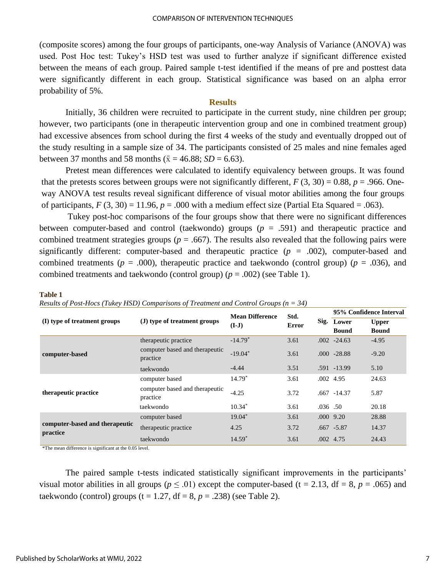(composite scores) among the four groups of participants, one-way Analysis of Variance (ANOVA) was used. Post Hoc test: Tukey's HSD test was used to further analyze if significant difference existed between the means of each group. Paired sample t-test identified if the means of pre and posttest data were significantly different in each group. Statistical significance was based on an alpha error probability of 5%.

### **Results**

Initially, 36 children were recruited to participate in the current study, nine children per group; however, two participants (one in therapeutic intervention group and one in combined treatment group) had excessive absences from school during the first 4 weeks of the study and eventually dropped out of the study resulting in a sample size of 34. The participants consisted of 25 males and nine females aged between 37 months and 58 months ( $\bar{x}$  = 46.88; *SD* = 6.63).

Pretest mean differences were calculated to identify equivalency between groups. It was found that the pretests scores between groups were not significantly different,  $F(3, 30) = 0.88$ ,  $p = .966$ . Oneway ANOVA test results reveal significant difference of visual motor abilities among the four groups of participants,  $F(3, 30) = 11.96$ ,  $p = .000$  with a medium effect size (Partial Eta Squared = .063).

Tukey post-hoc comparisons of the four groups show that there were no significant differences between computer-based and control (taekwondo) groups (*p* = .591) and therapeutic practice and combined treatment strategies groups ( $p = .667$ ). The results also revealed that the following pairs were significantly different: computer-based and therapeutic practice  $(p = .002)$ , computer-based and combined treatments ( $p = .000$ ), therapeutic practice and taekwondo (control group) ( $p = .036$ ), and combined treatments and taekwondo (control group)  $(p = .002)$  (see Table 1).

#### **Table 1**

*Results of Post-Hocs (Tukey HSD) Comparisons of Treatment and Control Groups (n = 34)*

|                                | (J) type of treatment groups               | <b>Mean Difference</b><br>$(I-J)$ | Std.<br>Error |         | 95% Confidence Interval |              |
|--------------------------------|--------------------------------------------|-----------------------------------|---------------|---------|-------------------------|--------------|
| (I) type of treatment groups   |                                            |                                   |               |         | Sig. Lower              | <b>Upper</b> |
|                                |                                            |                                   |               |         | <b>Bound</b>            | <b>Bound</b> |
| computer-based                 | therapeutic practice                       | $-14.79*$                         | 3.61          |         | $.002 -24.63$           | $-4.95$      |
|                                | computer based and therapeutic<br>practice | $-19.04*$                         | 3.61          |         | $.000 -28.88$           | $-9.20$      |
|                                | taekwondo                                  | $-4.44$                           | 3.51          |         | .591 -13.99             | 5.10         |
| therapeutic practice           | computer based                             | $14.79*$                          | 3.61          |         | .002 4.95               | 24.63        |
|                                | computer based and therapeutic<br>practice | $-4.25$                           | 3.72          |         | $.667 - 14.37$          | 5.87         |
|                                | taekwondo                                  | $10.34*$                          | 3.61          | .036.50 |                         | 20.18        |
|                                | computer based                             | $19.04*$                          | 3.61          |         | $.000$ 9.20             | 28.88        |
| computer-based and therapeutic | therapeutic practice                       | 4.25                              | 3.72          |         | $.667 - 5.87$           | 14.37        |
| practice                       | taekwondo                                  | $14.59*$                          | 3.61          |         | .002 4.75               | 24.43        |

\*The mean difference is significant at the 0.05 level.

The paired sample t-tests indicated statistically significant improvements in the participants' visual motor abilities in all groups ( $p \leq .01$ ) except the computer-based (t = 2.13, df = 8,  $p = .065$ ) and taekwondo (control) groups ( $t = 1.27$ ,  $df = 8$ ,  $p = .238$ ) (see Table 2).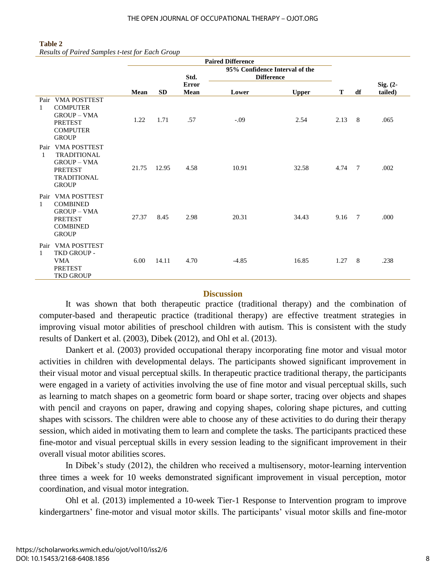#### **Table 2**

*Results of Paired Samples t-test for Each Group*

|                      |                                                                                                                         | <b>Paired Difference</b> |           |                                    |         |              |      |                 |         |
|----------------------|-------------------------------------------------------------------------------------------------------------------------|--------------------------|-----------|------------------------------------|---------|--------------|------|-----------------|---------|
|                      |                                                                                                                         |                          |           | 95% Confidence Interval of the     |         |              |      |                 |         |
|                      |                                                                                                                         |                          |           | Std.<br><b>Difference</b><br>Error |         |              |      | Sig. $(2-$      |         |
|                      |                                                                                                                         | Mean                     | <b>SD</b> | Mean                               | Lower   | <b>Upper</b> | Т    | df              | tailed) |
| Pair<br>$\mathbf{1}$ | <b>VMA POSTTEST</b><br><b>COMPUTER</b><br><b>GROUP - VMA</b><br><b>PRETEST</b><br><b>COMPUTER</b><br><b>GROUP</b>       | 1.22                     | 1.71      | .57                                | $-.09$  | 2.54         | 2.13 | 8               | .065    |
| Pair<br>$\mathbf{1}$ | <b>VMA POSTTEST</b><br><b>TRADITIONAL</b><br><b>GROUP - VMA</b><br><b>PRETEST</b><br><b>TRADITIONAL</b><br><b>GROUP</b> | 21.75                    | 12.95     | 4.58                               | 10.91   | 32.58        | 4.74 | $7\phantom{.0}$ | .002    |
| Pair<br>$\mathbf{1}$ | <b>VMA POSTTEST</b><br><b>COMBINED</b><br><b>GROUP - VMA</b><br><b>PRETEST</b><br><b>COMBINED</b><br><b>GROUP</b>       | 27.37                    | 8.45      | 2.98                               | 20.31   | 34.43        | 9.16 | 7               | .000    |
| Pair<br>$\mathbf{1}$ | <b>VMA POSTTEST</b><br>TKD GROUP -<br><b>VMA</b><br><b>PRETEST</b><br>TKD GROUP                                         | 6.00                     | 14.11     | 4.70                               | $-4.85$ | 16.85        | 1.27 | 8               | .238    |

# **Discussion**

It was shown that both therapeutic practice (traditional therapy) and the combination of computer-based and therapeutic practice (traditional therapy) are effective treatment strategies in improving visual motor abilities of preschool children with autism. This is consistent with the study results of Dankert et al. (2003), Dibek (2012), and Ohl et al. (2013).

Dankert et al. (2003) provided occupational therapy incorporating fine motor and visual motor activities in children with developmental delays. The participants showed significant improvement in their visual motor and visual perceptual skills. In therapeutic practice traditional therapy, the participants were engaged in a variety of activities involving the use of fine motor and visual perceptual skills, such as learning to match shapes on a geometric form board or shape sorter, tracing over objects and shapes with pencil and crayons on paper, drawing and copying shapes, coloring shape pictures, and cutting shapes with scissors. The children were able to choose any of these activities to do during their therapy session, which aided in motivating them to learn and complete the tasks. The participants practiced these fine-motor and visual perceptual skills in every session leading to the significant improvement in their overall visual motor abilities scores.

In Dibek's study (2012), the children who received a multisensory, motor-learning intervention three times a week for 10 weeks demonstrated significant improvement in visual perception, motor coordination, and visual motor integration.

Ohl et al. (2013) implemented a 10-week Tier-1 Response to Intervention program to improve kindergartners' fine-motor and visual motor skills. The participants' visual motor skills and fine-motor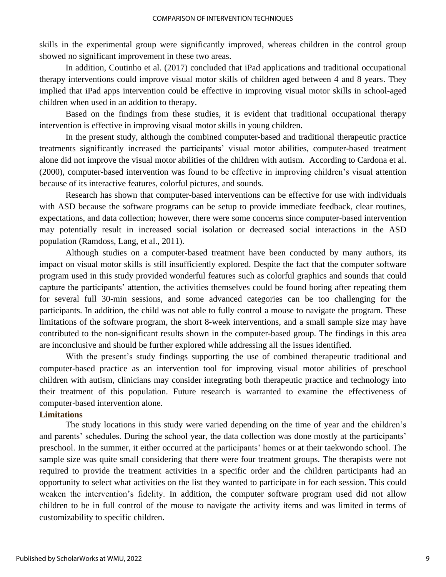skills in the experimental group were significantly improved, whereas children in the control group showed no significant improvement in these two areas.

In addition, Coutinho et al. (2017) concluded that iPad applications and traditional occupational therapy interventions could improve visual motor skills of children aged between 4 and 8 years. They implied that iPad apps intervention could be effective in improving visual motor skills in school-aged children when used in an addition to therapy.

Based on the findings from these studies, it is evident that traditional occupational therapy intervention is effective in improving visual motor skills in young children.

In the present study, although the combined computer-based and traditional therapeutic practice treatments significantly increased the participants' visual motor abilities, computer-based treatment alone did not improve the visual motor abilities of the children with autism. According to Cardona et al. (2000), computer-based intervention was found to be effective in improving children's visual attention because of its interactive features, colorful pictures, and sounds.

Research has shown that computer-based interventions can be effective for use with individuals with ASD because the software programs can be setup to provide immediate feedback, clear routines, expectations, and data collection; however, there were some concerns since computer-based intervention may potentially result in increased social isolation or decreased social interactions in the ASD population (Ramdoss, Lang, et al., 2011).

Although studies on a computer-based treatment have been conducted by many authors, its impact on visual motor skills is still insufficiently explored. Despite the fact that the computer software program used in this study provided wonderful features such as colorful graphics and sounds that could capture the participants' attention, the activities themselves could be found boring after repeating them for several full 30-min sessions, and some advanced categories can be too challenging for the participants. In addition, the child was not able to fully control a mouse to navigate the program. These limitations of the software program, the short 8-week interventions, and a small sample size may have contributed to the non-significant results shown in the computer-based group. The findings in this area are inconclusive and should be further explored while addressing all the issues identified.

With the present's study findings supporting the use of combined therapeutic traditional and computer-based practice as an intervention tool for improving visual motor abilities of preschool children with autism, clinicians may consider integrating both therapeutic practice and technology into their treatment of this population. Future research is warranted to examine the effectiveness of computer-based intervention alone.

## **Limitations**

The study locations in this study were varied depending on the time of year and the children's and parents' schedules. During the school year, the data collection was done mostly at the participants' preschool. In the summer, it either occurred at the participants' homes or at their taekwondo school. The sample size was quite small considering that there were four treatment groups. The therapists were not required to provide the treatment activities in a specific order and the children participants had an opportunity to select what activities on the list they wanted to participate in for each session. This could weaken the intervention's fidelity. In addition, the computer software program used did not allow children to be in full control of the mouse to navigate the activity items and was limited in terms of customizability to specific children.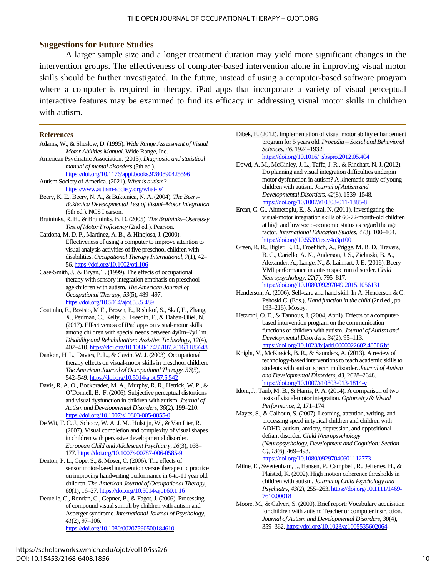# **Suggestions for Future Studies**

A larger sample size and a longer treatment duration may yield more significant changes in the intervention groups. The effectiveness of computer-based intervention alone in improving visual motor skills should be further investigated. In the future, instead of using a computer-based software program where a computer is required in therapy, iPad apps that incorporate a variety of visual perceptual interactive features may be examined to find its efficacy in addressing visual motor skills in children with autism.

#### **References**

- Adams, W., & Sheslow, D. (1995). *Wide Range Assessment of Visual Motor Abilities Manual*. Wide Range, Inc.
- American Psychiatric Association. (2013). *Diagnostic and statistical manual of mental disorders*(5th ed.).
- <https://doi.org/10.1176/appi.books.9780890425596> Autism Society of America. (2021). *What is autism?*
- <https://www.autism-society.org/what-is/>
- Beery, K. E., Beery, N. A., & Buktenica, N. A. (2004). *The Beery-Buktenica Developmental Test of Visual–MotorIntegration* (5th ed.). NCS Pearson.
- Bruininks, R. H., & Bruininks, B. D. (2005). *The Bruininks–Oseretsky Test of Motor Proficiency* (2nd ed.). Pearson.
- Cardona, M. D. P., Martinez, A. B., & Hinojosa, J. (2000). Effectiveness of using a computer to improve attention to visual analysis activities of five preschool children with disabilities. *Occupational Therapy International*, *7*(1), 42– 56[. https://doi.org/10.1002/oti.106](https://doi.org/10.1002/oti.106)
- Case-Smith, J., & Bryan, T. (1999). The effects of occupational therapy with sensory integration emphasis on preschoolage children with autism. *The American Journal of Occupational Therapy*, *53*(5), 489–497. <https://doi.org/10.5014/ajot.53.5.489>
- Coutinho, F., Bosisio, M E., Brown, E., Rishikof, S., Skaf, E., Zhang, X., Perlman, C., Kelly, S., Freedin, E., & Dahan-Oliel, N. (2017). Effectiveness of iPad apps on visual-motorskills among children with special needs between 4y0m–7y11m. *Disability and Rehabilitation: Assistive Technology*, *12*(4), 402–410. <https://doi.org/10.1080/17483107.2016.1185648>
- Dankert, H. L., Davies, P. L., & Gavin, W.J. (2003). Occupational therapy effects on visual-motor skills in preschool children. *The American Journal of Occupational Therapy*, *57*(5), 542–549. <https://doi.org/10.5014/ajot.57.5.542>
- Davis, R. A. O., Bockbrader, M. A., Murphy, R. R., Hetrick, W. P., & O'Donnell, B. F. (2006). Subjective perceptual distortions and visual dysfunction in children with autism. *Journal of Autism and Developmental Disorders*, *36*(2), 199–210. <https://doi.org/10.1007/s10803-005-0055-0>
- De Wit, T. C.J., Schooz, W. A.J. M., Hulstijn, W., & Van Lier, R. (2007). Visual completion and complexity of visual shapes in children with pervasive developmental disorder. *European Child and Adolescent Psychiatry*, *16*(3), 168– 177[. https://doi.org/10.1007/s00787-006-0585-9](https://doi.org/10.1007/s00787-006-0585-9)
- Denton, P. L., Cope, S., & Moser, C. (2006). The effects of sensorimotor-based intervention versus therapeutic practice on improving handwriting performance in 6-to-11 year old children. *The American Journal of Occupational Therapy*, *60*(1), 16–27[. https://doi.org/10.5014/ajot.60.1.16](https://doi.org/10.5014/ajot.60.1.16)
- Deruelle, C., Rondan, C., Gepner, B., & Fagot,J. (2006). Processing of compound visual stimuli by children with autism and Asperger syndrome. *International Journal of Psychology*, *41*(2), 97–106. <https://doi.org/10.1080/00207590500184610>
- Dibek, E. (2012). Implementation of visual motor ability enhancement program for 5 years old. *Procedia – Social and Behavioral Sciences*, *46*, 1924–1932. <https://doi.org/10.1016/j.sbspro.2012.05.404>
- Dowd, A. M., McGinley, J. L., Taffe, J. R., & Rinehart, N. J. (2012). Do planning and visual integration difficulties underpin motor dysfunction in autism? A kinematic study of young children with autism. *Journal of Autism and Developmental Disorders*, *42*(8), 1539–1548. <https://doi.org/10.1007/s10803-011-1385-8>
- Ercan, C. G., Ahmetoglu, E., & Aral, N. (2011). Investigating the visual-motor integration skills of 60-72-month-old children at high and low socio-economic status asregard the age factor. *International Education Studies*, *4* (3), 100–104. <https://doi.org/10.5539/ies.v4n3p100>
- Green, R. R., Bigler, E. D., Froehlich, A., Prigge, M. B. D., Travers, B. G., Cariello, A. N., Anderson,J. S., Zielinski, B. A., Alexander, A., Lange, N., & Lainhart, J. E. (2016). Beery VMI performance in autism spectrum disorder. *Child Neuropsychology*, *22*(7), 795–817. <https://doi.org/10.1080/09297049.2015.1056131>
- Henderson, A. (2006). Self-care and hand skill. In A. Henderson & C. Pehoski C. (Eds.), *Hand function in the child* (2nd ed., pp. 193–216). Mosby.
- Hetzroni, O. E., & Tannous, J. (2004, April). Effects of a computerbased intervention program on the communication functions of children with autism. *Journal of Autism and Developmental Disorders*, *34*(2), 95–113. <https://doi.org/10.1023/b:jadd.0000022602.40506.bf>
- Knight, V., McKissick, B. R., & Saunders, A. (2013). A review of technology-based interventions to teach academic skills to students with autism spectrum disorder. *Journal of Autism and Developmental Disorders*, *43*, 2628–2648. <https://doi.org/10.1007/s10803-013-1814-y>
- Idoni, J., Taub, M. B., & Harris, P. A. (2014). A comparison of two tests of visual-motor integration. *Optometry & Visual Performance*, *2*, 171–174.
- Mayes, S., & Calhoun, S. (2007). Learning, attention, writing, and processing speed in typical children and children with ADHD, autism, anxiety, depression, and oppositionaldefiant disorder. *Child Neuropsychology (Neuropsychology, Development and Cognition: Section C)*, *13*(6), 469–493. <https://doi.org/10.1080/09297040601112773>
- Milne, E., Swettenham, J., Hansen, P., Campbell, R., Jefferies, H., & Plaisted, K. (2002). High motion coherence thresholds in children with autism. *Journal of Child Psychology and Psychiatry*, *43*(2), 255–263[. https://doi.org/10.1111/1469-](https://doi.org/10.1111/1469-7610.00018) [7610.00018](https://doi.org/10.1111/1469-7610.00018)
- Moore, M., & Calvert, S. (2000). Brief report: Vocabulary acquisition for children with autism: Teacher or computer instruction. *Journal of Autism and Developmental Disorders*, *30*(4), 359–362. <https://doi.org/10.1023/a:1005535602064>